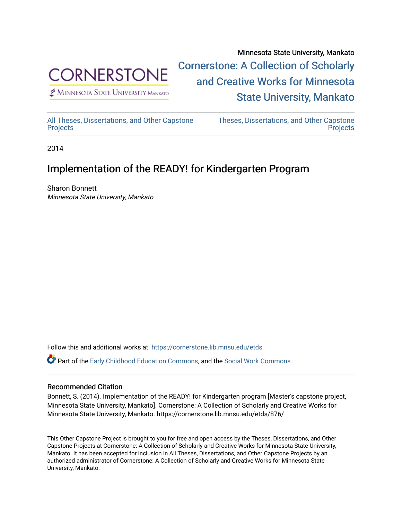

 $<sup>2</sup>$  Minnesota State University Mankato</sup>

Minnesota State University, Mankato [Cornerstone: A Collection of Scholarly](https://cornerstone.lib.mnsu.edu/)  [and Creative Works for Minnesota](https://cornerstone.lib.mnsu.edu/)  [State University, Mankato](https://cornerstone.lib.mnsu.edu/) 

[All Theses, Dissertations, and Other Capstone](https://cornerstone.lib.mnsu.edu/etds)  **[Projects](https://cornerstone.lib.mnsu.edu/etds)** 

[Theses, Dissertations, and Other Capstone](https://cornerstone.lib.mnsu.edu/theses_dissertations-capstone)  **Projects** 

2014

#### Implementation of the READY! for Kindergarten Program

Sharon Bonnett Minnesota State University, Mankato

Follow this and additional works at: [https://cornerstone.lib.mnsu.edu/etds](https://cornerstone.lib.mnsu.edu/etds?utm_source=cornerstone.lib.mnsu.edu%2Fetds%2F876&utm_medium=PDF&utm_campaign=PDFCoverPages) 

Part of the [Early Childhood Education Commons,](http://network.bepress.com/hgg/discipline/1377?utm_source=cornerstone.lib.mnsu.edu%2Fetds%2F876&utm_medium=PDF&utm_campaign=PDFCoverPages) and the [Social Work Commons](http://network.bepress.com/hgg/discipline/713?utm_source=cornerstone.lib.mnsu.edu%2Fetds%2F876&utm_medium=PDF&utm_campaign=PDFCoverPages) 

#### Recommended Citation

Bonnett, S. (2014). Implementation of the READY! for Kindergarten program [Master's capstone project, Minnesota State University, Mankato]. Cornerstone: A Collection of Scholarly and Creative Works for Minnesota State University, Mankato. https://cornerstone.lib.mnsu.edu/etds/876/

This Other Capstone Project is brought to you for free and open access by the Theses, Dissertations, and Other Capstone Projects at Cornerstone: A Collection of Scholarly and Creative Works for Minnesota State University, Mankato. It has been accepted for inclusion in All Theses, Dissertations, and Other Capstone Projects by an authorized administrator of Cornerstone: A Collection of Scholarly and Creative Works for Minnesota State University, Mankato.